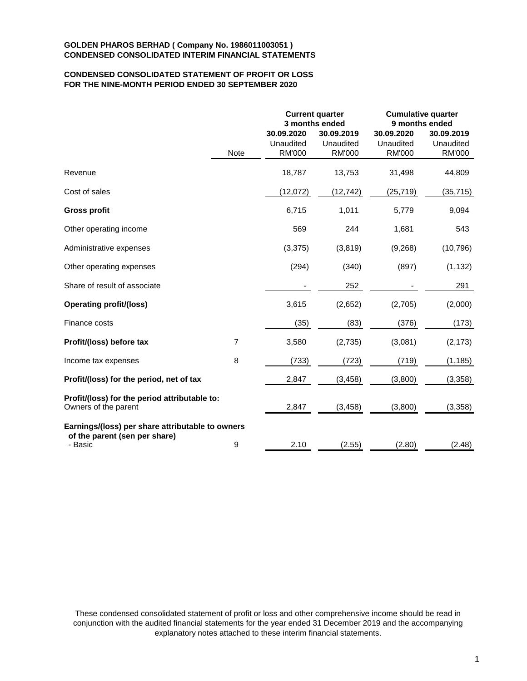# **CONDENSED CONSOLIDATED STATEMENT OF PROFIT OR LOSS FOR THE NINE-MONTH PERIOD ENDED 30 SEPTEMBER 2020**

|                                                                                              |      |                                          | <b>Current quarter</b><br>3 months ended | <b>Cumulative quarter</b><br>9 months ended |                                          |  |
|----------------------------------------------------------------------------------------------|------|------------------------------------------|------------------------------------------|---------------------------------------------|------------------------------------------|--|
|                                                                                              | Note | 30.09.2020<br>Unaudited<br><b>RM'000</b> | 30.09.2019<br>Unaudited<br><b>RM'000</b> | 30.09.2020<br>Unaudited<br><b>RM'000</b>    | 30.09.2019<br>Unaudited<br><b>RM'000</b> |  |
| Revenue                                                                                      |      | 18,787                                   | 13,753                                   | 31,498                                      | 44,809                                   |  |
| Cost of sales                                                                                |      | (12,072)                                 | (12, 742)                                | (25, 719)                                   | (35, 715)                                |  |
| <b>Gross profit</b>                                                                          |      | 6,715                                    | 1,011                                    | 5,779                                       | 9,094                                    |  |
| Other operating income                                                                       |      | 569                                      | 244                                      | 1,681                                       | 543                                      |  |
| Administrative expenses                                                                      |      | (3, 375)                                 | (3,819)                                  | (9,268)                                     | (10, 796)                                |  |
| Other operating expenses                                                                     |      | (294)                                    | (340)                                    | (897)                                       | (1, 132)                                 |  |
| Share of result of associate                                                                 |      |                                          | 252                                      |                                             | 291                                      |  |
| <b>Operating profit/(loss)</b>                                                               |      | 3,615                                    | (2,652)                                  | (2,705)                                     | (2,000)                                  |  |
| Finance costs                                                                                |      | (35)                                     | (83)                                     | (376)                                       | (173)                                    |  |
| Profit/(loss) before tax                                                                     | 7    | 3,580                                    | (2,735)                                  | (3,081)                                     | (2, 173)                                 |  |
| Income tax expenses                                                                          | 8    | (733)                                    | (723)                                    | (719)                                       | (1, 185)                                 |  |
| Profit/(loss) for the period, net of tax                                                     |      | 2,847                                    | (3, 458)                                 | (3,800)                                     | (3,358)                                  |  |
| Profit/(loss) for the period attributable to:<br>Owners of the parent                        |      | 2,847                                    | (3, 458)                                 | (3,800)                                     | (3,358)                                  |  |
| Earnings/(loss) per share attributable to owners<br>of the parent (sen per share)<br>- Basic | 9    | 2.10                                     | (2.55)                                   | (2.80)                                      | (2.48)                                   |  |

These condensed consolidated statement of profit or loss and other comprehensive income should be read in conjunction with the audited financial statements for the year ended 31 December 2019 and the accompanying explanatory notes attached to these interim financial statements.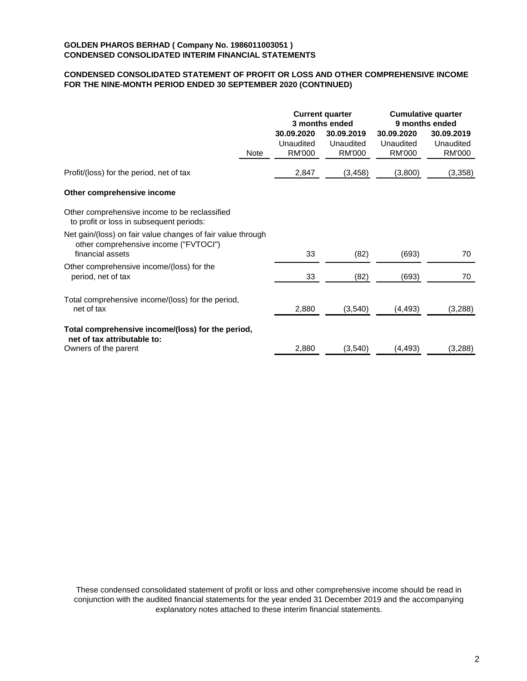# **CONDENSED CONSOLIDATED STATEMENT OF PROFIT OR LOSS AND OTHER COMPREHENSIVE INCOME FOR THE NINE-MONTH PERIOD ENDED 30 SEPTEMBER 2020 (CONTINUED)**

|                                                                                                                          |                                          | <b>Current quarter</b><br>3 months ended |                                          | <b>Cumulative quarter</b><br>9 months ended |
|--------------------------------------------------------------------------------------------------------------------------|------------------------------------------|------------------------------------------|------------------------------------------|---------------------------------------------|
| Note                                                                                                                     | 30.09.2020<br>Unaudited<br><b>RM'000</b> | 30.09.2019<br>Unaudited<br><b>RM'000</b> | 30.09.2020<br>Unaudited<br><b>RM'000</b> | 30.09.2019<br>Unaudited<br><b>RM'000</b>    |
| Profit/(loss) for the period, net of tax                                                                                 | 2,847                                    | (3, 458)                                 | (3,800)                                  | (3,358)                                     |
| Other comprehensive income                                                                                               |                                          |                                          |                                          |                                             |
| Other comprehensive income to be reclassified<br>to profit or loss in subsequent periods:                                |                                          |                                          |                                          |                                             |
| Net gain/(loss) on fair value changes of fair value through<br>other comprehensive income ("FVTOCI")<br>financial assets | 33                                       | (82)                                     | (693)                                    | 70                                          |
| Other comprehensive income/(loss) for the<br>period, net of tax                                                          | 33                                       | (82)                                     | (693)                                    | 70                                          |
| Total comprehensive income/(loss) for the period,<br>net of tax                                                          | 2,880                                    | (3,540)                                  | (4, 493)                                 | (3,288)                                     |
| Total comprehensive income/(loss) for the period,<br>net of tax attributable to:                                         |                                          |                                          |                                          |                                             |
| Owners of the parent                                                                                                     | 2,880                                    | (3,540)                                  | (4, 493)                                 | (3,288)                                     |

These condensed consolidated statement of profit or loss and other comprehensive income should be read in conjunction with the audited financial statements for the year ended 31 December 2019 and the accompanying explanatory notes attached to these interim financial statements.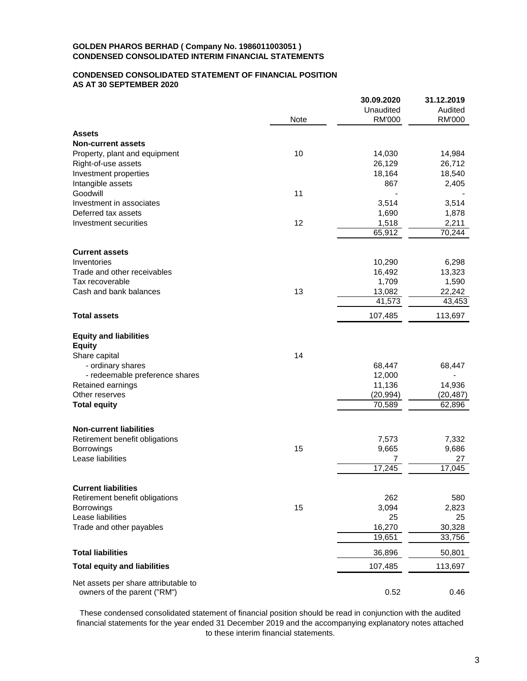# **CONDENSED CONSOLIDATED STATEMENT OF FINANCIAL POSITION AS AT 30 SEPTEMBER 2020**

|                                                |      | 30.09.2020       | 31.12.2019      |
|------------------------------------------------|------|------------------|-----------------|
|                                                |      | Unaudited        | Audited         |
|                                                | Note | <b>RM'000</b>    | <b>RM'000</b>   |
| Assets                                         |      |                  |                 |
| <b>Non-current assets</b>                      |      |                  |                 |
| Property, plant and equipment                  | 10   | 14,030           | 14,984          |
| Right-of-use assets                            |      | 26,129           | 26,712          |
| Investment properties                          |      | 18,164           | 18,540          |
| Intangible assets                              |      | 867              | 2,405           |
| Goodwill                                       | 11   |                  |                 |
| Investment in associates                       |      | 3,514            | 3,514           |
| Deferred tax assets                            |      | 1,690            | 1,878           |
| Investment securities                          | 12   | 1,518            | 2,211           |
|                                                |      | 65,912           | 70,244          |
|                                                |      |                  |                 |
| <b>Current assets</b>                          |      |                  |                 |
| Inventories                                    |      | 10,290           | 6,298           |
| Trade and other receivables<br>Tax recoverable |      | 16,492<br>1,709  | 13,323<br>1,590 |
| Cash and bank balances                         | 13   |                  | 22,242          |
|                                                |      | 13,082<br>41,573 | 43,453          |
|                                                |      |                  |                 |
| <b>Total assets</b>                            |      | 107,485          | 113,697         |
| <b>Equity and liabilities</b>                  |      |                  |                 |
| <b>Equity</b>                                  |      |                  |                 |
| Share capital                                  | 14   |                  |                 |
| - ordinary shares                              |      | 68,447           | 68,447          |
| - redeemable preference shares                 |      | 12,000           |                 |
| Retained earnings                              |      | 11,136           | 14,936          |
| Other reserves                                 |      | (20, 994)        | (20, 487)       |
| <b>Total equity</b>                            |      | 70,589           | 62,896          |
| <b>Non-current liabilities</b>                 |      |                  |                 |
| Retirement benefit obligations                 |      | 7,573            | 7,332           |
| Borrowings                                     | 15   | 9,665            | 9,686           |
| Lease liabilities                              |      | 7                | 27              |
|                                                |      | 17,245           | 17,045          |
|                                                |      |                  |                 |
| <b>Current liabilities</b>                     |      |                  |                 |
| Retirement benefit obligations                 |      | 262              | 580             |
| Borrowings                                     | 15   | 3,094            | 2,823           |
| Lease liabilities                              |      | 25               | 25              |
| Trade and other payables                       |      | 16,270           | 30,328          |
|                                                |      | 19,651           | 33,756          |
| <b>Total liabilities</b>                       |      | 36,896           | 50,801          |
| <b>Total equity and liabilities</b>            |      | 107,485          | 113,697         |
| Net assets per share attributable to           |      |                  |                 |
| owners of the parent ("RM")                    |      | 0.52             | 0.46            |

These condensed consolidated statement of financial position should be read in conjunction with the audited financial statements for the year ended 31 December 2019 and the accompanying explanatory notes attached to these interim financial statements.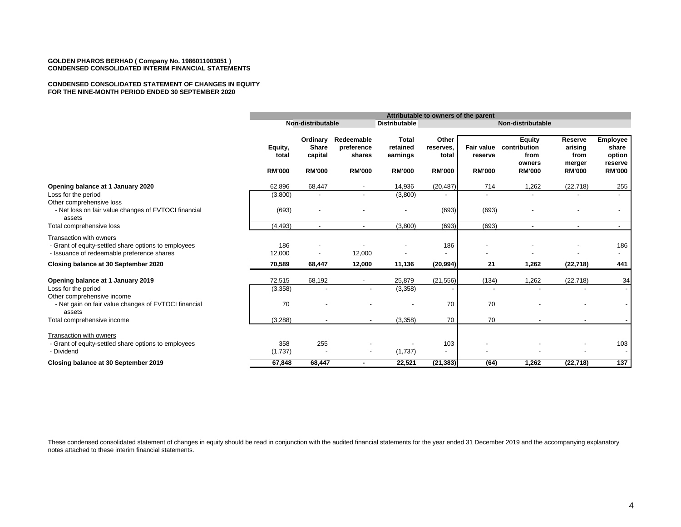#### **CONDENSED CONSOLIDATED STATEMENT OF CHANGES IN EQUITY FOR THE NINE-MONTH PERIOD ENDED 30 SEPTEMBER 2020**

|                                                                                                                               |                                   | Attributable to owners of the parent                 |                                                     |                                                       |                                              |                                        |                                                                  |                                                       |                                                                |
|-------------------------------------------------------------------------------------------------------------------------------|-----------------------------------|------------------------------------------------------|-----------------------------------------------------|-------------------------------------------------------|----------------------------------------------|----------------------------------------|------------------------------------------------------------------|-------------------------------------------------------|----------------------------------------------------------------|
|                                                                                                                               |                                   | Non-distributable                                    |                                                     | <b>Distributable</b>                                  |                                              |                                        | Non-distributable                                                |                                                       |                                                                |
|                                                                                                                               | Equity,<br>total<br><b>RM'000</b> | Ordinary<br><b>Share</b><br>capital<br><b>RM'000</b> | Redeemable<br>preference<br>shares<br><b>RM'000</b> | <b>Total</b><br>retained<br>earnings<br><b>RM'000</b> | Other<br>reserves,<br>total<br><b>RM'000</b> | Fair value<br>reserve<br><b>RM'000</b> | <b>Equity</b><br>contribution<br>from<br>owners<br><b>RM'000</b> | Reserve<br>arising<br>from<br>merger<br><b>RM'000</b> | <b>Employee</b><br>share<br>option<br>reserve<br><b>RM'000</b> |
| Opening balance at 1 January 2020                                                                                             | 62,896                            | 68,447                                               | $\blacksquare$                                      | 14,936                                                | (20, 487)                                    | 714                                    | 1,262                                                            | (22, 718)                                             | 255                                                            |
| Loss for the period                                                                                                           | (3,800)                           |                                                      | $\blacksquare$                                      | (3,800)                                               |                                              | $\overline{\phantom{a}}$               |                                                                  |                                                       |                                                                |
| Other comprehensive loss<br>- Net loss on fair value changes of FVTOCI financial<br>assets                                    | (693)                             |                                                      |                                                     |                                                       | (693)                                        | (693)                                  |                                                                  |                                                       |                                                                |
| Total comprehensive loss                                                                                                      | (4, 493)                          | $\overline{\phantom{a}}$                             | $\overline{\phantom{a}}$                            | (3,800)                                               | (693)                                        | (693)                                  |                                                                  | $\overline{\phantom{a}}$                              | $\sim$                                                         |
| Transaction with owners<br>- Grant of equity-settled share options to employees<br>- Issuance of redeemable preference shares | 186<br>12,000                     |                                                      | 12,000                                              |                                                       | 186<br>$\overline{\phantom{a}}$              |                                        |                                                                  |                                                       | 186<br>$\overline{\phantom{a}}$                                |
| Closing balance at 30 September 2020                                                                                          | 70,589                            | 68,447                                               | 12,000                                              | 11,136                                                | (20, 994)                                    | 21                                     | 1,262                                                            | (22, 718)                                             | 441                                                            |
| Opening balance at 1 January 2019<br>Loss for the period                                                                      | 72,515<br>(3,358)                 | 68,192                                               |                                                     | 25,879<br>(3,358)                                     | (21, 556)                                    | (134)                                  | 1,262                                                            | (22, 718)                                             | 34                                                             |
| Other comprehensive income<br>- Net gain on fair value changes of FVTOCI financial<br>assets                                  | 70                                |                                                      |                                                     |                                                       | 70                                           | 70                                     |                                                                  |                                                       |                                                                |
| Total comprehensive income                                                                                                    | (3,288)                           | $\overline{\phantom{a}}$                             | $\overline{\phantom{a}}$                            | (3,358)                                               | 70                                           | 70                                     | $\blacksquare$                                                   | $\sim$                                                |                                                                |
| Transaction with owners                                                                                                       |                                   |                                                      |                                                     |                                                       |                                              |                                        |                                                                  |                                                       |                                                                |
| - Grant of equity-settled share options to employees<br>- Dividend                                                            | 358                               | 255                                                  |                                                     | (1,737)                                               | 103<br>$\overline{\phantom{a}}$              |                                        |                                                                  |                                                       | 103                                                            |
|                                                                                                                               | (1,737)                           |                                                      | $\overline{\phantom{a}}$                            |                                                       |                                              |                                        |                                                                  |                                                       |                                                                |
| Closing balance at 30 September 2019                                                                                          | 67,848                            | 68,447                                               | ٠                                                   | 22,521                                                | (21, 383)                                    | (64)                                   | 1,262                                                            | (22, 718)                                             | 137                                                            |

These condensed consolidated statement of changes in equity should be read in conjunction with the audited financial statements for the year ended 31 December 2019 and the accompanying explanatory notes attached to these interim financial statements.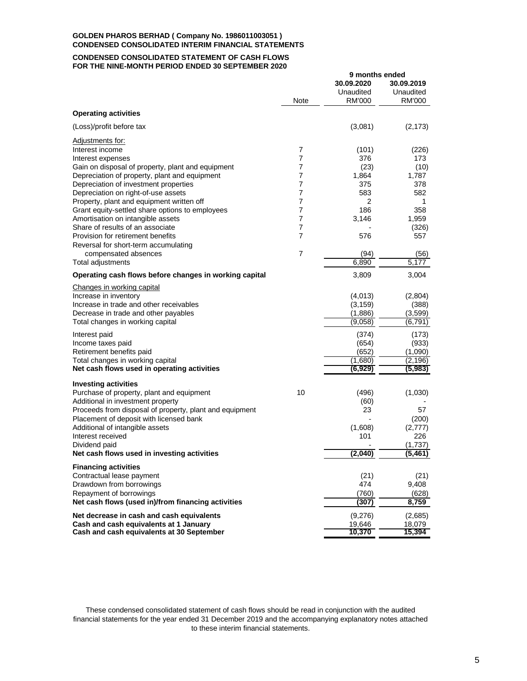#### **CONDENSED CONSOLIDATED STATEMENT OF CASH FLOWS FOR THE NINE-MONTH PERIOD ENDED 30 SEPTEMBER 2020**

|                                                         |                | 9 months ended |            |
|---------------------------------------------------------|----------------|----------------|------------|
|                                                         |                | 30.09.2020     | 30.09.2019 |
|                                                         | Note           | Unaudited      | Unaudited  |
| <b>Operating activities</b>                             |                | RM'000         | RM'000     |
| (Loss)/profit before tax                                |                | (3,081)        | (2, 173)   |
| Adjustments for:                                        |                |                |            |
| Interest income                                         | $\overline{7}$ | (101)          | (226)      |
| Interest expenses                                       | $\overline{7}$ | 376            | 173        |
| Gain on disposal of property, plant and equipment       | 7              | (23)           | (10)       |
| Depreciation of property, plant and equipment           | 7              | 1,864          | 1,787      |
| Depreciation of investment properties                   | $\overline{7}$ | 375            | 378        |
| Depreciation on right-of-use assets                     | 7              | 583            | 582        |
| Property, plant and equipment written off               | 7              | 2              | 1          |
| Grant equity-settled share options to employees         | $\overline{7}$ | 186            | 358        |
| Amortisation on intangible assets                       | 7              | 3,146          | 1,959      |
| Share of results of an associate                        | 7              |                | (326)      |
| Provision for retirement benefits                       | 7              | 576            | 557        |
| Reversal for short-term accumulating                    |                |                |            |
| compensated absences                                    | 7              | (94)           | (56)       |
| Total adjustments                                       |                | 6,890          | 5,177      |
| Operating cash flows before changes in working capital  |                | 3,809          | 3,004      |
| Changes in working capital                              |                |                |            |
| Increase in inventory                                   |                | (4,013)        | (2,804)    |
| Increase in trade and other receivables                 |                | (3, 159)       | (388)      |
| Decrease in trade and other payables                    |                | (1,886)        | (3.599)    |
| Total changes in working capital                        |                | (9,058)        | (6, 791)   |
| Interest paid                                           |                | (374)          | (173)      |
| Income taxes paid                                       |                | (654)          | (933)      |
| Retirement benefits paid                                |                | (652)          | (1,090)    |
| Total changes in working capital                        |                | (1,680)        | (2, 196)   |
| Net cash flows used in operating activities             |                | (6,929)        | (5,983)    |
| <b>Investing activities</b>                             |                |                |            |
| Purchase of property, plant and equipment               | 10             | (496)          | (1,030)    |
| Additional in investment property                       |                | (60)           |            |
| Proceeds from disposal of property, plant and equipment |                | 23             | 57         |
| Placement of deposit with licensed bank                 |                |                | (200)      |
| Additional of intangible assets                         |                | (1,608)        | (2, 777)   |
| Interest received                                       |                | 101            | 226        |
| Dividend paid                                           |                |                | (1,737)    |
| Net cash flows used in investing activities             |                | (2,040)        | (5, 461)   |
| <b>Financing activities</b>                             |                |                |            |
| Contractual lease payment                               |                | (21)           | (21)       |
| Drawdown from borrowings                                |                | 474            | 9,408      |
| Repayment of borrowings                                 |                | (760)          | (628)      |
| Net cash flows (used in)/from financing activities      |                | (307)          | 8,759      |
| Net decrease in cash and cash equivalents               |                | (9,276)        | (2,685)    |
| Cash and cash equivalents at 1 January                  |                | 19,646         | 18,079     |
| Cash and cash equivalents at 30 September               |                | 10,370         | 15,394     |

These condensed consolidated statement of cash flows should be read in conjunction with the audited financial statements for the year ended 31 December 2019 and the accompanying explanatory notes attached to these interim financial statements.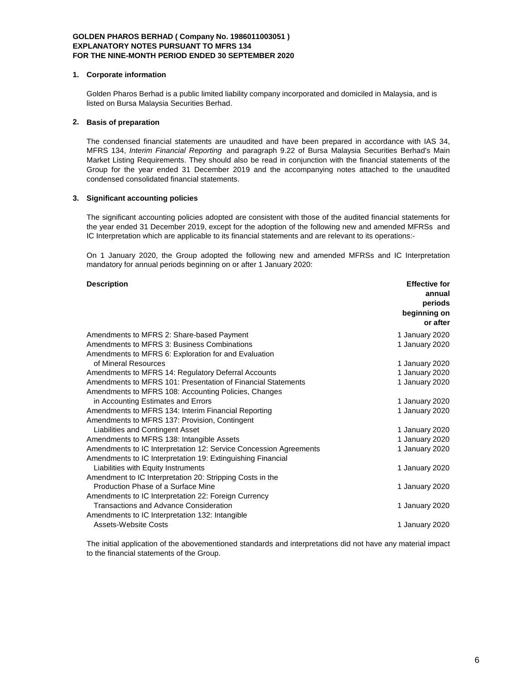#### **1. Corporate information**

Golden Pharos Berhad is a public limited liability company incorporated and domiciled in Malaysia, and is listed on Bursa Malaysia Securities Berhad.

# **2. Basis of preparation**

The condensed financial statements are unaudited and have been prepared in accordance with IAS 34, MFRS 134, *Interim Financial Reporting* and paragraph 9.22 of Bursa Malaysia Securities Berhad's Main Market Listing Requirements. They should also be read in conjunction with the financial statements of the Group for the year ended 31 December 2019 and the accompanying notes attached to the unaudited condensed consolidated financial statements.

### **3. Significant accounting policies**

The significant accounting policies adopted are consistent with those of the audited financial statements for the year ended 31 December 2019, except for the adoption of the following new and amended MFRSs and IC Interpretation which are applicable to its financial statements and are relevant to its operations:-

On 1 January 2020, the Group adopted the following new and amended MFRSs and IC Interpretation mandatory for annual periods beginning on or after 1 January 2020:

#### **Description Effective for**

|                                                                   | annual         |
|-------------------------------------------------------------------|----------------|
|                                                                   | periods        |
|                                                                   | beginning on   |
|                                                                   | or after       |
| Amendments to MFRS 2: Share-based Payment                         | 1 January 2020 |
| Amendments to MFRS 3: Business Combinations                       | 1 January 2020 |
| Amendments to MFRS 6: Exploration for and Evaluation              |                |
| of Mineral Resources                                              | 1 January 2020 |
| Amendments to MFRS 14: Regulatory Deferral Accounts               | 1 January 2020 |
| Amendments to MFRS 101: Presentation of Financial Statements      | 1 January 2020 |
| Amendments to MFRS 108: Accounting Policies, Changes              |                |
| in Accounting Estimates and Errors                                | 1 January 2020 |
| Amendments to MFRS 134: Interim Financial Reporting               | 1 January 2020 |
| Amendments to MFRS 137: Provision, Contingent                     |                |
| Liabilities and Contingent Asset                                  | 1 January 2020 |
| Amendments to MFRS 138: Intangible Assets                         | 1 January 2020 |
| Amendments to IC Interpretation 12: Service Concession Agreements | 1 January 2020 |
| Amendments to IC Interpretation 19: Extinguishing Financial       |                |
| Liabilities with Equity Instruments                               | 1 January 2020 |
| Amendment to IC Interpretation 20: Stripping Costs in the         |                |
| Production Phase of a Surface Mine                                | 1 January 2020 |
| Amendments to IC Interpretation 22: Foreign Currency              |                |
| <b>Transactions and Advance Consideration</b>                     | 1 January 2020 |
| Amendments to IC Interpretation 132: Intangible                   |                |
| Assets-Website Costs                                              | 1 January 2020 |

The initial application of the abovementioned standards and interpretations did not have any material impact to the financial statements of the Group.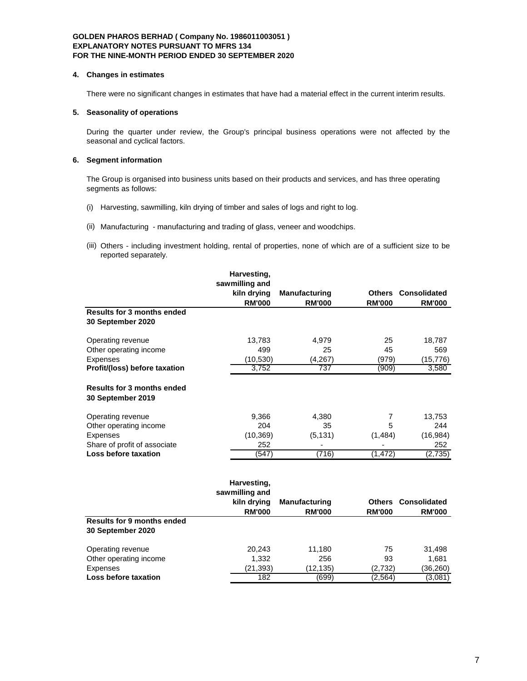#### **4. Changes in estimates**

There were no significant changes in estimates that have had a material effect in the current interim results.

# **5. Seasonality of operations**

During the quarter under review, the Group's principal business operations were not affected by the seasonal and cyclical factors.

# **6. Segment information**

The Group is organised into business units based on their products and services, and has three operating segments as follows:

- (i) Harvesting, sawmilling, kiln drying of timber and sales of logs and right to log.
- (ii) Manufacturing manufacturing and trading of glass, veneer and woodchips.
- (iii) Others including investment holding, rental of properties, none of which are of a sufficient size to be reported separately.

|                                                        | Harvesting,                   |                      |               |                            |
|--------------------------------------------------------|-------------------------------|----------------------|---------------|----------------------------|
|                                                        | sawmilling and                |                      |               |                            |
|                                                        | kiln drying                   | <b>Manufacturing</b> |               | <b>Others Consolidated</b> |
|                                                        | <b>RM'000</b>                 | <b>RM'000</b>        | <b>RM'000</b> | <b>RM'000</b>              |
| <b>Results for 3 months ended</b>                      |                               |                      |               |                            |
| 30 September 2020                                      |                               |                      |               |                            |
| Operating revenue                                      | 13,783                        | 4,979                | 25            | 18,787                     |
| Other operating income                                 | 499                           | 25                   | 45            | 569                        |
| Expenses                                               | (10, 530)                     | (4, 267)             | (979)         | (15,776)                   |
| Profit/(loss) before taxation                          | 3,752                         | 737                  | (909)         | 3,580                      |
| <b>Results for 3 months ended</b><br>30 September 2019 |                               |                      |               |                            |
| Operating revenue                                      | 9,366                         | 4,380                | 7             | 13,753                     |
| Other operating income                                 | 204                           | 35                   | 5             | 244                        |
| <b>Expenses</b>                                        | (10, 369)                     | (5, 131)             | (1,484)       | (16, 984)                  |
| Share of profit of associate                           | 252                           |                      |               | 252                        |
| Loss before taxation                                   | (547)                         | (716)                | (1, 472)      | (2,735)                    |
|                                                        | Harvesting,<br>sawmilling and |                      |               |                            |
|                                                        | kiln drying                   | <b>Manufacturing</b> | <b>Others</b> | <b>Consolidated</b>        |
|                                                        | <b>RM'000</b>                 | <b>RM'000</b>        | <b>RM'000</b> | <b>RM'000</b>              |
| <b>Results for 9 months ended</b><br>30 September 2020 |                               |                      |               |                            |
| Operating revenue                                      | 20,243                        | 11,180               | 75            | 31,498                     |
| Other operating income                                 | 1,332                         | 256                  | 93            | 1,681                      |
| <b>Expenses</b>                                        | (21, 393)                     | (12,135)             | (2,732)       | (36, 260)                  |
| Loss before taxation                                   | 182                           | (699)                | (2,564)       | (3,081)                    |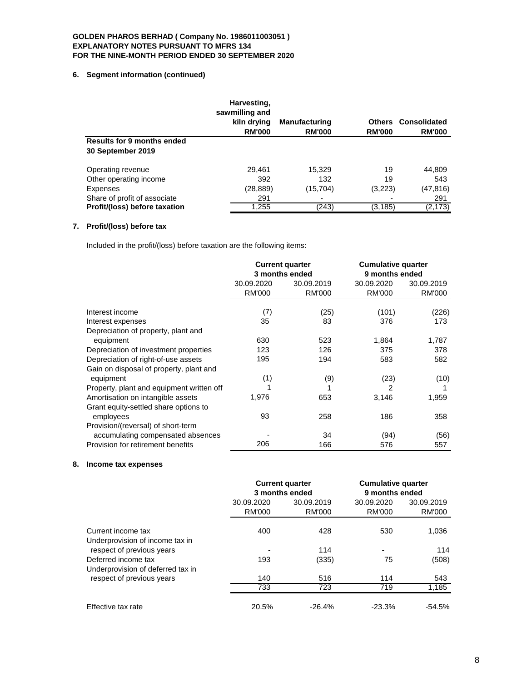# **6. Segment information (continued)**

|                                                        | Harvesting,<br>sawmilling and |                                       |                                |                               |
|--------------------------------------------------------|-------------------------------|---------------------------------------|--------------------------------|-------------------------------|
|                                                        | kiln drying<br><b>RM'000</b>  | <b>Manufacturing</b><br><b>RM'000</b> | <b>Others</b><br><b>RM'000</b> | Consolidated<br><b>RM'000</b> |
| <b>Results for 9 months ended</b><br>30 September 2019 |                               |                                       |                                |                               |
| Operating revenue                                      | 29.461                        | 15,329                                | 19                             | 44,809                        |
| Other operating income                                 | 392                           | 132                                   | 19                             | 543                           |
| Expenses                                               | (28,889)                      | (15, 704)                             | (3,223)                        | (47, 816)                     |
| Share of profit of associate                           | 291                           |                                       |                                | 291                           |
| Profit/(loss) before taxation                          | 1,255                         | (243)                                 | (3, 185)                       | (2, 173)                      |

# **7. Profit/(loss) before tax**

Included in the profit/(loss) before taxation are the following items:

|                                           | <b>Current quarter</b><br>3 months ended |               | <b>Cumulative quarter</b><br>9 months ended |               |
|-------------------------------------------|------------------------------------------|---------------|---------------------------------------------|---------------|
|                                           | 30.09.2020                               | 30.09.2019    | 30.09.2020                                  | 30.09.2019    |
|                                           | <b>RM'000</b>                            | <b>RM'000</b> | <b>RM'000</b>                               | <b>RM'000</b> |
|                                           |                                          |               |                                             |               |
| Interest income                           | (7)                                      | (25)          | (101)                                       | (226)         |
| Interest expenses                         | 35                                       | 83            | 376                                         | 173           |
| Depreciation of property, plant and       |                                          |               |                                             |               |
| equipment                                 | 630                                      | 523           | 1,864                                       | 1,787         |
| Depreciation of investment properties     | 123                                      | 126           | 375                                         | 378           |
| Depreciation of right-of-use assets       | 195                                      | 194           | 583                                         | 582           |
| Gain on disposal of property, plant and   |                                          |               |                                             |               |
| equipment                                 | (1)                                      | (9)           | (23)                                        | (10)          |
| Property, plant and equipment written off |                                          |               | 2                                           |               |
| Amortisation on intangible assets         | 1,976                                    | 653           | 3,146                                       | 1,959         |
| Grant equity-settled share options to     |                                          |               |                                             |               |
| employees                                 | 93                                       | 258           | 186                                         | 358           |
| Provision/(reversal) of short-term        |                                          |               |                                             |               |
| accumulating compensated absences         |                                          | 34            | (94)                                        | (56)          |
| Provision for retirement benefits         | 206                                      | 166           | 576                                         | 557           |

# **8. Income tax expenses**

|                                                          | <b>Current quarter</b><br>3 months ended |                      | <b>Cumulative quarter</b><br>9 months ended |                             |
|----------------------------------------------------------|------------------------------------------|----------------------|---------------------------------------------|-----------------------------|
|                                                          | 30.09.2020<br><b>RM'000</b>              | 30.09.2019<br>RM'000 | 30.09.2020<br>RM'000                        | 30.09.2019<br><b>RM'000</b> |
| Current income tax<br>Underprovision of income tax in    | 400                                      | 428                  | 530                                         | 1,036                       |
| respect of previous years                                |                                          | 114                  | $\overline{\phantom{0}}$                    | 114                         |
| Deferred income tax<br>Underprovision of deferred tax in | 193                                      | (335)                | 75                                          | (508)                       |
| respect of previous years                                | 140                                      | 516                  | 114                                         | 543                         |
|                                                          | 733                                      | 723                  | 719                                         | 1,185                       |
| Effective tax rate                                       | 20.5%                                    | $-26.4%$             | $-23.3%$                                    | $-54.5%$                    |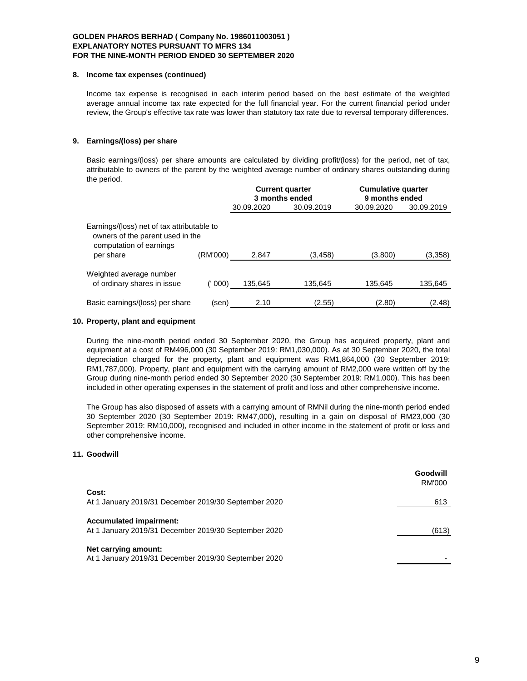#### **8. Income tax expenses (continued)**

Income tax expense is recognised in each interim period based on the best estimate of the weighted average annual income tax rate expected for the full financial year. For the current financial period under review, the Group's effective tax rate was lower than statutory tax rate due to reversal temporary differences.

# **9. Earnings/(loss) per share**

Basic earnings/(loss) per share amounts are calculated by dividing profit/(loss) for the period, net of tax, attributable to owners of the parent by the weighted average number of ordinary shares outstanding during the period.

|                                                                                                           |          | <b>Current quarter</b><br>3 months ended |            | <b>Cumulative quarter</b><br>9 months ended |            |
|-----------------------------------------------------------------------------------------------------------|----------|------------------------------------------|------------|---------------------------------------------|------------|
|                                                                                                           |          | 30.09.2020                               | 30.09.2019 | 30.09.2020                                  | 30.09.2019 |
| Earnings/(loss) net of tax attributable to<br>owners of the parent used in the<br>computation of earnings |          |                                          |            |                                             |            |
| per share                                                                                                 | (RM'000) | 2,847                                    | (3,458)    | (3,800)                                     | (3,358)    |
| Weighted average number<br>of ordinary shares in issue                                                    | (' 000)  | 135,645                                  | 135,645    | 135,645                                     | 135,645    |
| Basic earnings/(loss) per share                                                                           | (sen)    | 2.10                                     | (2.55)     | (2.80)                                      | (2.48)     |

### **10. Property, plant and equipment**

During the nine-month period ended 30 September 2020, the Group has acquired property, plant and equipment at a cost of RM496,000 (30 September 2019: RM1,030,000). As at 30 September 2020, the total depreciation charged for the property, plant and equipment was RM1,864,000 (30 September 2019: RM1,787,000). Property, plant and equipment with the carrying amount of RM2,000 were written off by the Group during nine-month period ended 30 September 2020 (30 September 2019: RM1,000). This has been included in other operating expenses in the statement of profit and loss and other comprehensive income.

The Group has also disposed of assets with a carrying amount of RMNil during the nine-month period ended 30 September 2020 (30 September 2019: RM47,000), resulting in a gain on disposal of RM23,000 (30 September 2019: RM10,000), recognised and included in other income in the statement of profit or loss and other comprehensive income.

## **11. Goodwill**

|                                                                                        | Goodwill<br>RM'000 |
|----------------------------------------------------------------------------------------|--------------------|
| Cost:<br>At 1 January 2019/31 December 2019/30 September 2020                          | 613                |
| <b>Accumulated impairment:</b><br>At 1 January 2019/31 December 2019/30 September 2020 | (613)              |
| Net carrying amount:<br>At 1 January 2019/31 December 2019/30 September 2020           |                    |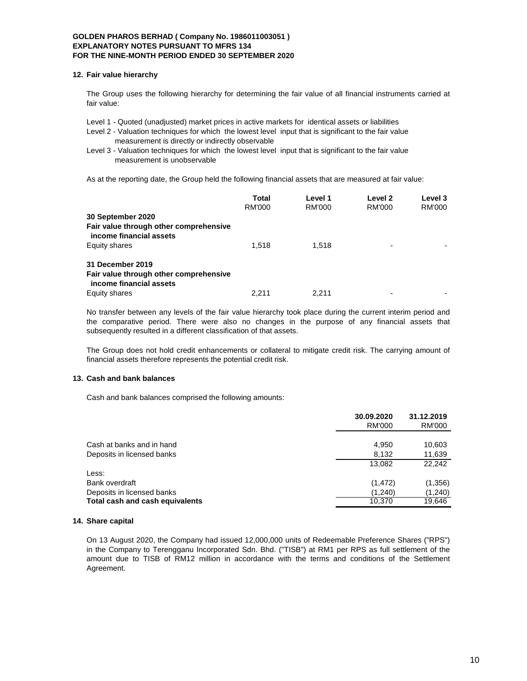#### **12. Fair value hierarchy**

The Group uses the following hierarchy for determining the fair value of all financial instruments carried at fair value:

Level 1 - Quoted (unadjusted) market prices in active markets for identical assets or liabilities

Level 2 - Valuation techniques for which the lowest level input that is significant to the fair value measurement is directly or indirectly observable

Level 3 - Valuation techniques for which the lowest level input that is significant to the fair value measurement is unobservable

As at the reporting date, the Group held the following financial assets that are measured at fair value:

|                                                                                       | Total         | Level 1 | Level 2                  | Level 3 |
|---------------------------------------------------------------------------------------|---------------|---------|--------------------------|---------|
|                                                                                       | <b>RM'000</b> | RM'000  | RM'000                   | RM'000  |
| 30 September 2020                                                                     |               |         |                          |         |
| Fair value through other comprehensive<br>income financial assets                     |               |         |                          |         |
| Equity shares                                                                         | 1.518         | 1.518   | ٠                        |         |
| 31 December 2019<br>Fair value through other comprehensive<br>income financial assets |               |         |                          |         |
| Equity shares                                                                         | 2.211         | 2.211   | $\overline{\phantom{0}}$ |         |

No transfer between any levels of the fair value hierarchy took place during the current interim period and the comparative period. There were also no changes in the purpose of any financial assets that subsequently resulted in a different classification of that assets.

The Group does not hold credit enhancements or collateral to mitigate credit risk. The carrying amount of financial assets therefore represents the potential credit risk.

### **13. Cash and bank balances**

Cash and bank balances comprised the following amounts:

|                                 | 30.09.2020 | 31.12.2019 |  |
|---------------------------------|------------|------------|--|
|                                 | RM'000     | RM'000     |  |
|                                 |            |            |  |
| Cash at banks and in hand       | 4,950      | 10,603     |  |
| Deposits in licensed banks      | 8,132      | 11,639     |  |
|                                 | 13.082     | 22.242     |  |
| Less:                           |            |            |  |
| Bank overdraft                  | (1, 472)   | (1,356)    |  |
| Deposits in licensed banks      | (1,240)    | (1,240)    |  |
| Total cash and cash equivalents | 10.370     | 19,646     |  |
|                                 |            |            |  |

### **14. Share capital**

On 13 August 2020, the Company had issued 12,000,000 units of Redeemable Preference Shares ("RPS") in the Company to Terengganu Incorporated Sdn. Bhd. ("TISB") at RM1 per RPS as full settlement of the amount due to TISB of RM12 million in accordance with the terms and conditions of the Settlement Agreement.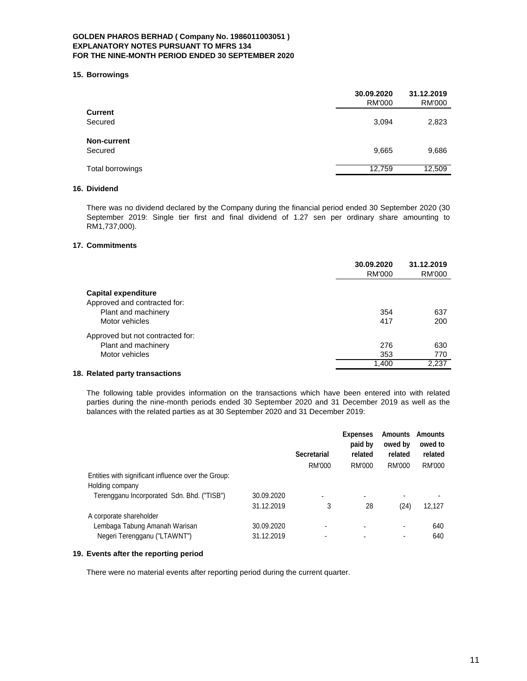#### **15. Borrowings**

|                    | 30.09.2020<br><b>RM'000</b> | 31.12.2019<br><b>RM'000</b> |
|--------------------|-----------------------------|-----------------------------|
| <b>Current</b>     |                             |                             |
| Secured            | 3,094                       | 2,823                       |
| <b>Non-current</b> |                             |                             |
| Secured            | 9,665                       | 9,686                       |
| Total borrowings   | 12,759                      | 12,509                      |

# **16. Dividend**

There was no dividend declared by the Company during the financial period ended 30 September 2020 (30 September 2019: Single tier first and final dividend of 1.27 sen per ordinary share amounting to RM1,737,000).

# **17. Commitments**

|                                  | 30.09.2020<br>RM'000 | 31.12.2019<br>RM'000 |
|----------------------------------|----------------------|----------------------|
| <b>Capital expenditure</b>       |                      |                      |
| Approved and contracted for:     |                      |                      |
| Plant and machinery              | 354                  | 637                  |
| Motor vehicles                   | 417                  | 200                  |
| Approved but not contracted for: |                      |                      |
| Plant and machinery              | 276                  | 630                  |
| Motor vehicles                   | 353                  | 770                  |
|                                  | 1,400                | 2,237                |
|                                  |                      |                      |

# **18. Related party transactions**

The following table provides information on the transactions which have been entered into with related parties during the nine-month periods ended 30 September 2020 and 31 December 2019 as well as the balances with the related parties as at 30 September 2020 and 31 December 2019:

|                                                     |            | <b>Secretarial</b> | <b>Expenses</b><br>paid by<br>related | <b>Amounts</b><br>owed by<br>related | <b>Amounts</b><br>owed to<br>related |
|-----------------------------------------------------|------------|--------------------|---------------------------------------|--------------------------------------|--------------------------------------|
| Entities with significant influence over the Group: |            | RM'000             | RM'000                                | RM'000                               | RM'000                               |
| Holding company                                     |            |                    |                                       |                                      |                                      |
| Terengganu Incorporated Sdn. Bhd. ("TISB")          | 30.09.2020 | ٠                  | ۰                                     |                                      |                                      |
|                                                     | 31.12.2019 | 3                  | 28                                    | (24)                                 | 12,127                               |
| A corporate shareholder                             |            |                    |                                       |                                      |                                      |
| Lembaga Tabung Amanah Warisan                       | 30.09.2020 |                    |                                       | ٠                                    | 640                                  |
| Negeri Terengganu ("LTAWNT")                        | 31.12.2019 |                    |                                       | ٠                                    | 640                                  |

# **19. Events after the reporting period**

There were no material events after reporting period during the current quarter.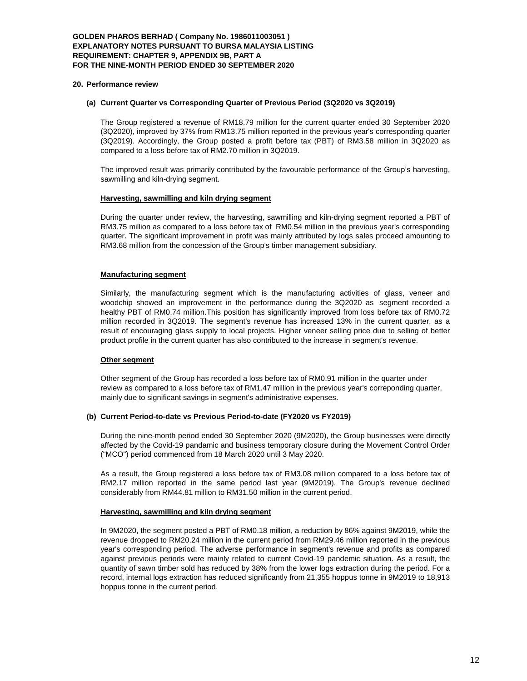#### **GOLDEN PHAROS BERHAD ( Company No. 1986011003051 ) EXPLANATORY NOTES PURSUANT TO BURSA MALAYSIA LISTING REQUIREMENT: CHAPTER 9, APPENDIX 9B, PART A FOR THE NINE-MONTH PERIOD ENDED 30 SEPTEMBER 2020**

#### **20. Performance review**

#### **(a) Current Quarter vs Corresponding Quarter of Previous Period (3Q2020 vs 3Q2019)**

The Group registered a revenue of RM18.79 million for the current quarter ended 30 September 2020 (3Q2020), improved by 37% from RM13.75 million reported in the previous year's corresponding quarter (3Q2019). Accordingly, the Group posted a profit before tax (PBT) of RM3.58 million in 3Q2020 as compared to a loss before tax of RM2.70 million in 3Q2019.

The improved result was primarily contributed by the favourable performance of the Group's harvesting, sawmilling and kiln-drying segment.

#### **Harvesting, sawmilling and kiln drying segment**

During the quarter under review, the harvesting, sawmilling and kiln-drying segment reported a PBT of RM3.75 million as compared to a loss before tax of RM0.54 million in the previous year's corresponding quarter. The significant improvement in profit was mainly attributed by logs sales proceed amounting to RM3.68 million from the concession of the Group's timber management subsidiary.

#### **Manufacturing segment**

Similarly, the manufacturing segment which is the manufacturing activities of glass, veneer and woodchip showed an improvement in the performance during the 3Q2020 as segment recorded a healthy PBT of RM0.74 million.This position has significantly improved from loss before tax of RM0.72 million recorded in 3Q2019. The segment's revenue has increased 13% in the current quarter, as a result of encouraging glass supply to local projects. Higher veneer selling price due to selling of better product profile in the current quarter has also contributed to the increase in segment's revenue.

### **Other segment**

Other segment of the Group has recorded a loss before tax of RM0.91 million in the quarter under review as compared to a loss before tax of RM1.47 million in the previous year's correponding quarter, mainly due to significant savings in segment's administrative expenses.

### **(b) Current Period-to-date vs Previous Period-to-date (FY2020 vs FY2019)**

During the nine-month period ended 30 September 2020 (9M2020), the Group businesses were directly affected by the Covid-19 pandamic and business temporary closure during the Movement Control Order ("MCO") period commenced from 18 March 2020 until 3 May 2020.

As a result, the Group registered a loss before tax of RM3.08 million compared to a loss before tax of RM2.17 million reported in the same period last year (9M2019). The Group's revenue declined considerably from RM44.81 million to RM31.50 million in the current period.

# **Harvesting, sawmilling and kiln drying segment**

In 9M2020, the segment posted a PBT of RM0.18 million, a reduction by 86% against 9M2019, while the revenue dropped to RM20.24 million in the current period from RM29.46 million reported in the previous year's corresponding period. The adverse performance in segment's revenue and profits as compared against previous periods were mainly related to current Covid-19 pandemic situation. As a result, the quantity of sawn timber sold has reduced by 38% from the lower logs extraction during the period. For a record, internal logs extraction has reduced significantly from 21,355 hoppus tonne in 9M2019 to 18,913 hoppus tonne in the current period.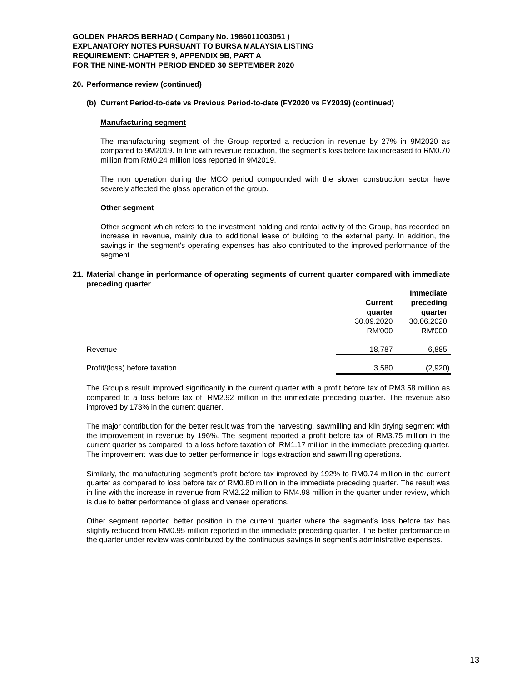#### **GOLDEN PHAROS BERHAD ( Company No. 1986011003051 ) EXPLANATORY NOTES PURSUANT TO BURSA MALAYSIA LISTING REQUIREMENT: CHAPTER 9, APPENDIX 9B, PART A FOR THE NINE-MONTH PERIOD ENDED 30 SEPTEMBER 2020**

#### **20. Performance review (continued)**

# **(b) Current Period-to-date vs Previous Period-to-date (FY2020 vs FY2019) (continued)**

#### **Manufacturing segment**

The manufacturing segment of the Group reported a reduction in revenue by 27% in 9M2020 as compared to 9M2019. In line with revenue reduction, the segment's loss before tax increased to RM0.70 million from RM0.24 million loss reported in 9M2019.

The non operation during the MCO period compounded with the slower construction sector have severely affected the glass operation of the group.

#### **Other segment**

Other segment which refers to the investment holding and rental activity of the Group, has recorded an increase in revenue, mainly due to additional lease of building to the external party. In addition, the savings in the segment's operating expenses has also contributed to the improved performance of the segment.

#### **21. Material change in performance of operating segments of current quarter compared with immediate preceding quarter**

|                               | <b>Current</b><br>quarter | <b>Immediate</b><br>preceding<br>quarter |  |
|-------------------------------|---------------------------|------------------------------------------|--|
|                               | 30.09.2020                | 30.06.2020                               |  |
|                               | RM'000                    | RM'000                                   |  |
| Revenue                       | 18,787                    | 6,885                                    |  |
| Profit/(loss) before taxation | 3,580                     | (2,920)                                  |  |

The Group's result improved significantly in the current quarter with a profit before tax of RM3.58 million as compared to a loss before tax of RM2.92 million in the immediate preceding quarter. The revenue also improved by 173% in the current quarter.

The major contribution for the better result was from the harvesting, sawmilling and kiln drying segment with the improvement in revenue by 196%. The segment reported a profit before tax of RM3.75 million in the current quarter as compared to a loss before taxation of RM1.17 million in the immediate preceding quarter. The improvement was due to better performance in logs extraction and sawmilling operations.

Similarly, the manufacturing segment's profit before tax improved by 192% to RM0.74 million in the current quarter as compared to loss before tax of RM0.80 million in the immediate preceding quarter. The result was in line with the increase in revenue from RM2.22 million to RM4.98 million in the quarter under review, which is due to better performance of glass and veneer operations.

Other segment reported better position in the current quarter where the segment's loss before tax has slightly reduced from RM0.95 million reported in the immediate preceding quarter. The better performance in the quarter under review was contributed by the continuous savings in segment's administrative expenses.